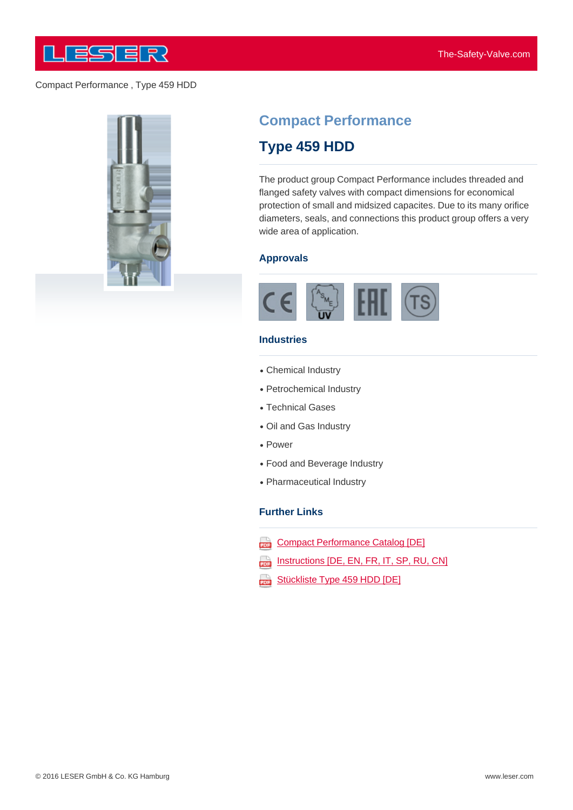

#### Compact Performance , Type 459 HDD



# **Compact Performance**

# **Type 459 HDD**

The product group Compact Performance includes threaded and flanged safety valves with compact dimensions for economical protection of small and midsized capacites. Due to its many orifice diameters, seals, and connections this product group offers a very wide area of application.

#### **Approvals**



#### **Industries**

- Chemical Industry
- Petrochemical Industry
- Technical Gases
- Oil and Gas Industry
- Power
- Food and Beverage Industry
- Pharmaceutical Industry

#### **Further Links**

- Compact Performance Catalog [DE] 203
- Instructions [DE, EN, FR, IT, SP, RU, CN] ana)
- Stückliste Type 459 HDD [DE] aaa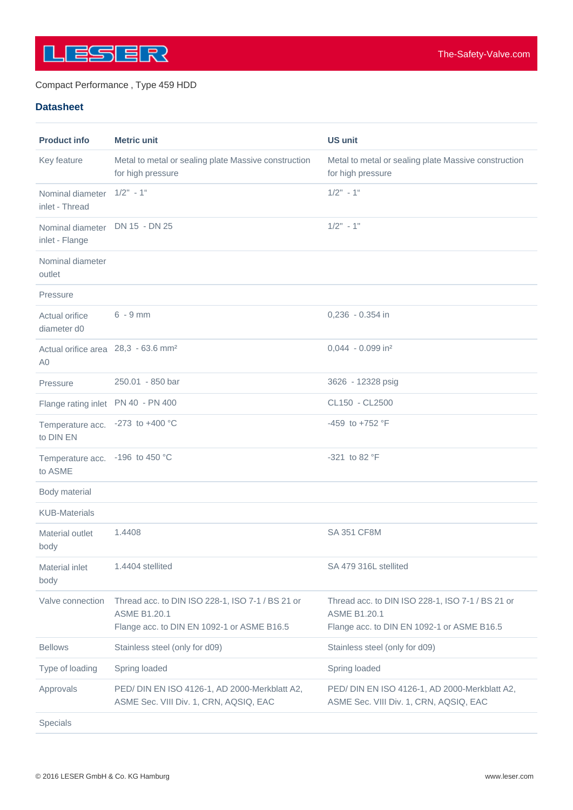

### Compact Performance , Type 459 HDD

## **Datasheet**

| <b>Product info</b>                                               | <b>Metric unit</b>                                                                                                    | <b>US unit</b>                                                                                                        |
|-------------------------------------------------------------------|-----------------------------------------------------------------------------------------------------------------------|-----------------------------------------------------------------------------------------------------------------------|
| Key feature                                                       | Metal to metal or sealing plate Massive construction<br>for high pressure                                             | Metal to metal or sealing plate Massive construction<br>for high pressure                                             |
| Nominal diameter<br>inlet - Thread                                | $1/2" - 1"$                                                                                                           | $1/2$ " - 1"                                                                                                          |
| Nominal diameter<br>inlet - Flange                                | DN 15 - DN 25                                                                                                         | $1/2" - 1"$                                                                                                           |
| Nominal diameter<br>outlet                                        |                                                                                                                       |                                                                                                                       |
| Pressure                                                          |                                                                                                                       |                                                                                                                       |
| Actual orifice<br>diameter d0                                     | $6 - 9$ mm                                                                                                            | $0,236 - 0.354$ in                                                                                                    |
| Actual orifice area 28,3 - 63.6 mm <sup>2</sup><br>A <sub>0</sub> |                                                                                                                       | $0.044 - 0.099$ in <sup>2</sup>                                                                                       |
| Pressure                                                          | 250.01 - 850 bar                                                                                                      | 3626 - 12328 psig                                                                                                     |
| Flange rating inlet PN 40 - PN 400                                |                                                                                                                       | CL150 - CL2500                                                                                                        |
| Temperature acc. - 273 to +400 °C<br>to DIN EN                    |                                                                                                                       | $-459$ to $+752$ °F                                                                                                   |
| Temperature acc. -196 to 450 °C<br>to ASME                        |                                                                                                                       | $-321$ to 82 °F                                                                                                       |
| Body material                                                     |                                                                                                                       |                                                                                                                       |
| <b>KUB-Materials</b>                                              |                                                                                                                       |                                                                                                                       |
| Material outlet<br>body                                           | 1.4408                                                                                                                | <b>SA 351 CF8M</b>                                                                                                    |
| <b>Material inlet</b><br>body                                     | 1.4404 stellited                                                                                                      | SA 479 316L stellited                                                                                                 |
| Valve connection                                                  | Thread acc. to DIN ISO 228-1, ISO 7-1 / BS 21 or<br><b>ASME B1.20.1</b><br>Flange acc. to DIN EN 1092-1 or ASME B16.5 | Thread acc. to DIN ISO 228-1, ISO 7-1 / BS 21 or<br><b>ASME B1.20.1</b><br>Flange acc. to DIN EN 1092-1 or ASME B16.5 |
| <b>Bellows</b>                                                    | Stainless steel (only for d09)                                                                                        | Stainless steel (only for d09)                                                                                        |
| Type of loading                                                   | Spring loaded                                                                                                         | Spring loaded                                                                                                         |
| Approvals                                                         | PED/ DIN EN ISO 4126-1, AD 2000-Merkblatt A2,<br>ASME Sec. VIII Div. 1, CRN, AQSIQ, EAC                               | PED/ DIN EN ISO 4126-1, AD 2000-Merkblatt A2,<br>ASME Sec. VIII Div. 1, CRN, AQSIQ, EAC                               |
| Specials                                                          |                                                                                                                       |                                                                                                                       |